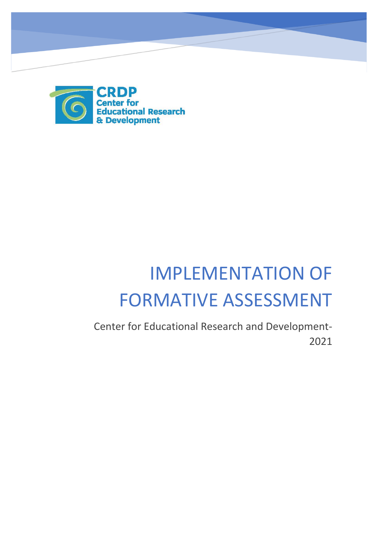

# IMPLEMENTATION OF FORMATIVE ASSESSMENT

Center for Educational Research and Development-2021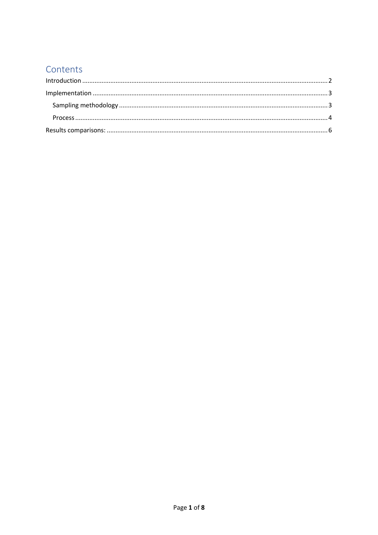## Contents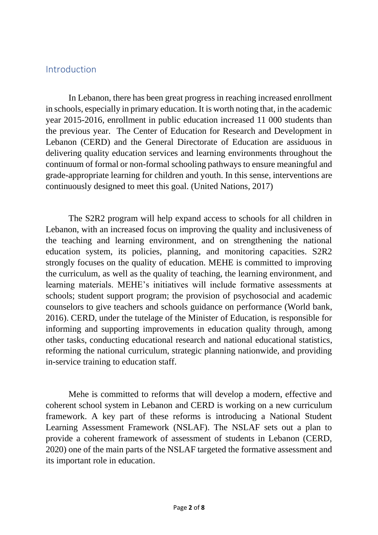#### <span id="page-2-0"></span>Introduction

In Lebanon, there has been great progress in reaching increased enrollment in schools, especially in primary education. It is worth noting that, in the academic year 2015-2016, enrollment in public education increased 11 000 students than the previous year. The Center of Education for Research and Development in Lebanon (CERD) and the General Directorate of Education are assiduous in delivering quality education services and learning environments throughout the continuum of formal or non-formal schooling pathways to ensure meaningful and grade-appropriate learning for children and youth. In this sense, interventions are continuously designed to meet this goal. (United Nations, 2017)

The S2R2 program will help expand access to schools for all children in Lebanon, with an increased focus on improving the quality and inclusiveness of the teaching and learning environment, and on strengthening the national education system, its policies, planning, and monitoring capacities. S2R2 strongly focuses on the quality of education. MEHE is committed to improving the curriculum, as well as the quality of teaching, the learning environment, and learning materials. MEHE's initiatives will include formative assessments at schools; student support program; the provision of psychosocial and academic counselors to give teachers and schools guidance on performance (World bank, 2016). CERD, under the tutelage of the Minister of Education, is responsible for informing and supporting improvements in education quality through, among other tasks, conducting educational research and national educational statistics, reforming the national curriculum, strategic planning nationwide, and providing in-service training to education staff.

Mehe is committed to reforms that will develop a modern, effective and coherent school system in Lebanon and CERD is working on a new curriculum framework. A key part of these reforms is introducing a National Student Learning Assessment Framework (NSLAF). The NSLAF sets out a plan to provide a coherent framework of assessment of students in Lebanon (CERD, 2020) one of the main parts of the NSLAF targeted the formative assessment and its important role in education.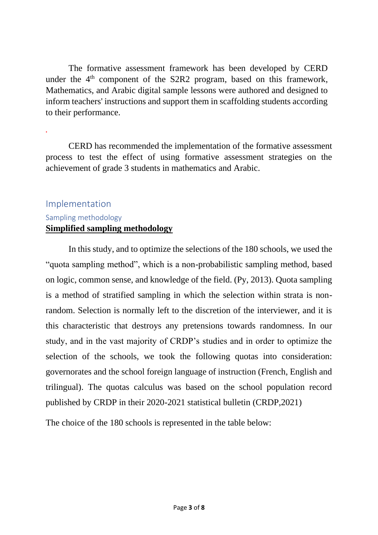The formative assessment framework has been developed by CERD under the 4<sup>th</sup> component of the S2R2 program, based on this framework, Mathematics, and Arabic digital sample lessons were authored and designed to inform teachers' instructions and support them in scaffolding students according to their performance.

CERD has recommended the implementation of the formative assessment process to test the effect of using formative assessment strategies on the achievement of grade 3 students in mathematics and Arabic.

## <span id="page-3-1"></span><span id="page-3-0"></span>Implementation Sampling methodology **Simplified sampling methodology**

.

In this study, and to optimize the selections of the 180 schools, we used the "quota sampling method", which is a non-probabilistic sampling method, based on logic, common sense, and knowledge of the field. (Py, 2013). Quota sampling is a method of stratified sampling in which the selection within strata is nonrandom. Selection is normally left to the discretion of the interviewer, and it is this characteristic that destroys any pretensions towards randomness. In our study, and in the vast majority of CRDP's studies and in order to optimize the selection of the schools, we took the following quotas into consideration: governorates and the school foreign language of instruction (French, English and trilingual). The quotas calculus was based on the school population record published by CRDP in their 2020-2021 statistical bulletin (CRDP,2021)

The choice of the 180 schools is represented in the table below: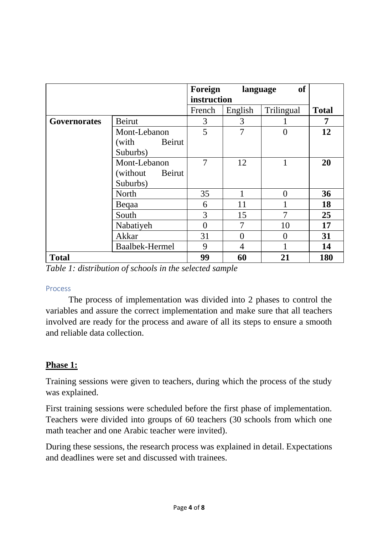|                     |                       | Foreign  | language | <b>of</b>      |              |
|---------------------|-----------------------|----------|----------|----------------|--------------|
|                     | instruction           |          |          |                |              |
|                     |                       | French   | English  | Trilingual     | <b>Total</b> |
| <b>Governorates</b> | <b>Beirut</b>         | 3        | 3        |                | 7            |
|                     | Mont-Lebanon          | 5        | 7        | $\overline{0}$ | 12           |
|                     | (with Beirut          |          |          |                |              |
|                     | Suburbs)              |          |          |                |              |
|                     | Mont-Lebanon          | 7        | 12       | 1              | 20           |
|                     | (without)<br>Beirut   |          |          |                |              |
|                     | Suburbs)              |          |          |                |              |
|                     | North                 | 35       |          | $\overline{0}$ | 36           |
|                     | Begaa                 | 6        | 11       | 1              | 18           |
|                     | South                 | 3        | 15       | 7              | 25           |
|                     | Nabatiyeh             | $\theta$ | 7        | 10             | 17           |
|                     | Akkar                 | 31       | 0        | $\overline{0}$ | 31           |
|                     | <b>Baalbek-Hermel</b> | 9        | 4        |                | 14           |
| <b>Total</b>        |                       | 99       | 60       | 21             | 180          |

*Table 1: distribution of schools in the selected sample*

#### <span id="page-4-0"></span>Process

The process of implementation was divided into 2 phases to control the variables and assure the correct implementation and make sure that all teachers involved are ready for the process and aware of all its steps to ensure a smooth and reliable data collection.

## **Phase 1:**

Training sessions were given to teachers, during which the process of the study was explained.

First training sessions were scheduled before the first phase of implementation. Teachers were divided into groups of 60 teachers (30 schools from which one math teacher and one Arabic teacher were invited).

During these sessions, the research process was explained in detail. Expectations and deadlines were set and discussed with trainees.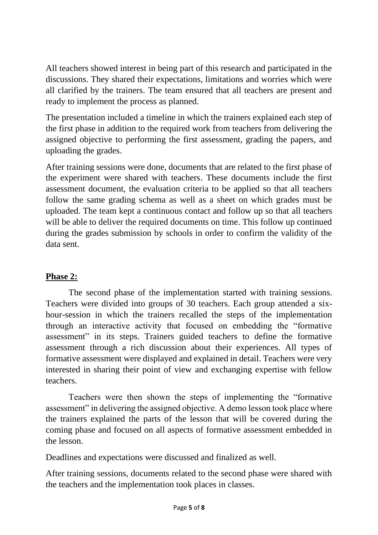All teachers showed interest in being part of this research and participated in the discussions. They shared their expectations, limitations and worries which were all clarified by the trainers. The team ensured that all teachers are present and ready to implement the process as planned.

The presentation included a timeline in which the trainers explained each step of the first phase in addition to the required work from teachers from delivering the assigned objective to performing the first assessment, grading the papers, and uploading the grades.

After training sessions were done, documents that are related to the first phase of the experiment were shared with teachers. These documents include the first assessment document, the evaluation criteria to be applied so that all teachers follow the same grading schema as well as a sheet on which grades must be uploaded. The team kept a continuous contact and follow up so that all teachers will be able to deliver the required documents on time. This follow up continued during the grades submission by schools in order to confirm the validity of the data sent.

### **Phase 2:**

The second phase of the implementation started with training sessions. Teachers were divided into groups of 30 teachers. Each group attended a sixhour-session in which the trainers recalled the steps of the implementation through an interactive activity that focused on embedding the "formative assessment" in its steps. Trainers guided teachers to define the formative assessment through a rich discussion about their experiences. All types of formative assessment were displayed and explained in detail. Teachers were very interested in sharing their point of view and exchanging expertise with fellow teachers.

Teachers were then shown the steps of implementing the "formative assessment" in delivering the assigned objective. A demo lesson took place where the trainers explained the parts of the lesson that will be covered during the coming phase and focused on all aspects of formative assessment embedded in the lesson.

Deadlines and expectations were discussed and finalized as well.

After training sessions, documents related to the second phase were shared with the teachers and the implementation took places in classes.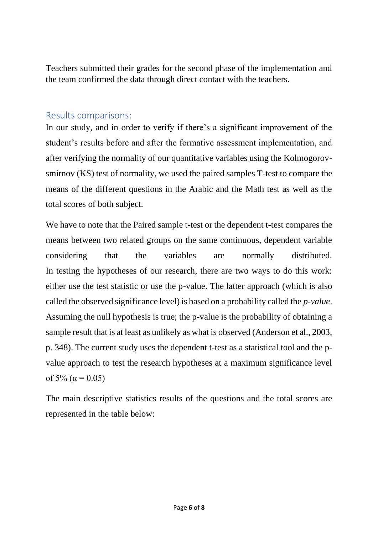Teachers submitted their grades for the second phase of the implementation and the team confirmed the data through direct contact with the teachers.

#### <span id="page-6-0"></span>Results comparisons:

In our study, and in order to verify if there's a significant improvement of the student's results before and after the formative assessment implementation, and after verifying the normality of our quantitative variables using the Kolmogorovsmirnov (KS) test of normality, we used the paired samples T-test to compare the means of the different questions in the Arabic and the Math test as well as the total scores of both subject.

We have to note that the Paired sample t-test or the dependent t-test compares the means between two related groups on the same continuous, dependent variable considering that the variables are normally distributed. In testing the hypotheses of our research, there are two ways to do this work: either use the test statistic or use the p-value. The latter approach (which is also called the observed significance level) is based on a probability called the *p-value*. Assuming the null hypothesis is true; the p-value is the probability of obtaining a sample result that is at least as unlikely as what is observed (Anderson et al., 2003, p. 348). The current study uses the dependent t-test as a statistical tool and the pvalue approach to test the research hypotheses at a maximum significance level of 5% ( $\alpha$  = 0.05)

The main descriptive statistics results of the questions and the total scores are represented in the table below: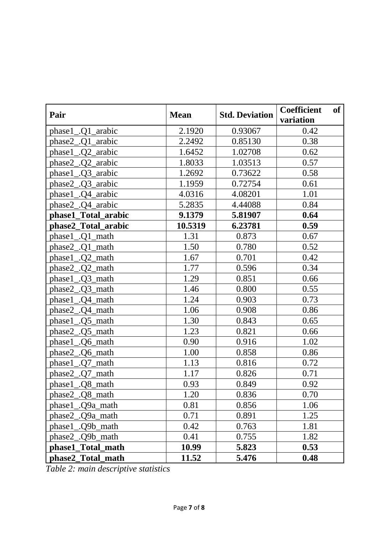| Pair                             | <b>Mean</b> | <b>Std. Deviation</b> | <b>Coefficient</b><br>of<br>variation |
|----------------------------------|-------------|-----------------------|---------------------------------------|
| phase1.01 arabic                 | 2.1920      | 0.93067               | 0.42                                  |
| phase2_.Q1_arabic                | 2.2492      | 0.85130               | 0.38                                  |
| $phase1$ $\_$ . $Q2$ $\_$ arabic | 1.6452      | 1.02708               | 0.62                                  |
| phase2 .Q2 arabic                | 1.8033      | 1.03513               | 0.57                                  |
| phase1_.Q3_arabic                | 1.2692      | 0.73622               | 0.58                                  |
| phase2 .Q3 arabic                | 1.1959      | 0.72754               | 0.61                                  |
| phase1<br>.04 arabic             | 4.0316      | 4.08201               | 1.01                                  |
| phase2_.Q4_arabic                | 5.2835      | 4.44088               | 0.84                                  |
| phase1_Total_arabic              | 9.1379      | 5.81907               | 0.64                                  |
| phase2_Total_arabic              | 10.5319     | 6.23781               | 0.59                                  |
| phase1_.Q1_math                  | 1.31        | 0.873                 | 0.67                                  |
| phase2_.Q1_math                  | 1.50        | 0.780                 | 0.52                                  |
| phase1_Q2_math                   | 1.67        | 0.701                 | 0.42                                  |
| phase2_.Q2_math                  | 1.77        | 0.596                 | 0.34                                  |
| phase1 .Q3 math                  | 1.29        | 0.851                 | 0.66                                  |
| phase2_.Q3_math                  | 1.46        | 0.800                 | 0.55                                  |
| phase1 .04 math                  | 1.24        | 0.903                 | 0.73                                  |
| phase2 .Q4 math                  | 1.06        | 0.908                 | 0.86                                  |
| phase1.05 math                   | 1.30        | 0.843                 | 0.65                                  |
| phase2 .Q5 math                  | 1.23        | 0.821                 | 0.66                                  |
| phase1.06 math                   | 0.90        | 0.916                 | 1.02                                  |
| phase2.06 math                   | 1.00        | 0.858                 | 0.86                                  |
| phase1.07 math                   | 1.13        | 0.816                 | 0.72                                  |
| phase2_.Q7_math                  | 1.17        | 0.826                 | 0.71                                  |
| phase1<br>.Q8_math               | 0.93        | 0.849                 | 0.92                                  |
| $phase2$ . $Q8$ _math            | 1.20        | 0.836                 | 0.70                                  |
| phase1_Q9a_math                  | 0.81        | 0.856                 | 1.06                                  |
| phase2_.Q9a_math                 | 0.71        | 0.891                 | 1.25                                  |
| phase1_.Q9b_math                 | 0.42        | 0.763                 | 1.81                                  |
| phase2_.Q9b_math                 | 0.41        | 0.755                 | 1.82                                  |
| phase1_Total_math                | 10.99       | 5.823                 | 0.53                                  |
| phase2_Total_math                | 11.52       | 5.476                 | 0.48                                  |

*Table 2: main descriptive statistics*